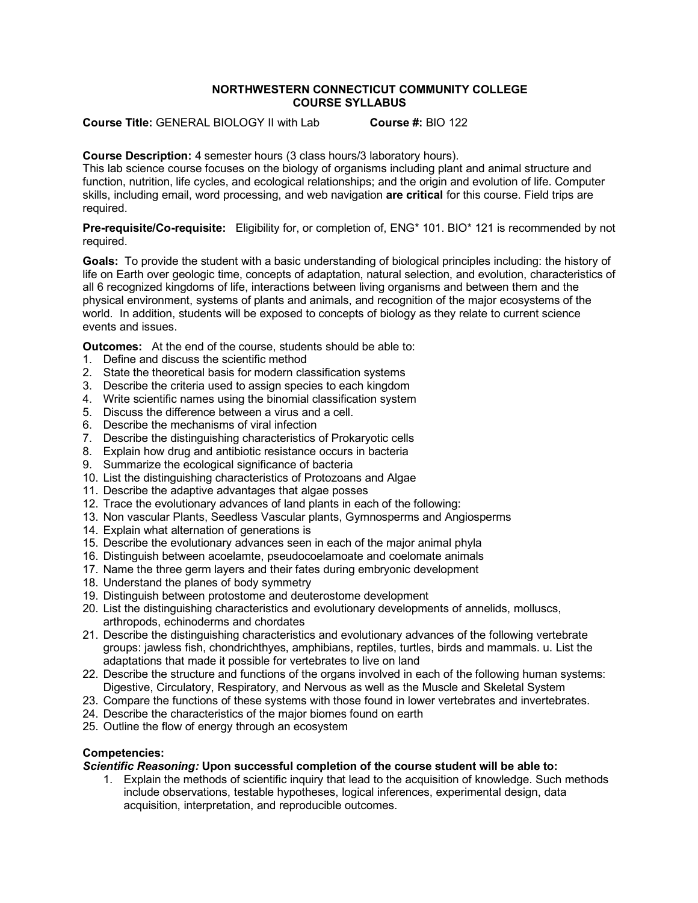#### **NORTHWESTERN CONNECTICUT COMMUNITY COLLEGE COURSE SYLLABUS**

**Course Title:** GENERAL BIOLOGY II with Lab **Course #:** BIO 122

## **Course Description:** 4 semester hours (3 class hours/3 laboratory hours).

This lab science course focuses on the biology of organisms including plant and animal structure and function, nutrition, life cycles, and ecological relationships; and the origin and evolution of life. Computer skills, including email, word processing, and web navigation **are critical** for this course. Field trips are required.

**Pre-requisite/Co-requisite:** Eligibility for, or completion of, ENG\* 101. BIO\* 121 is recommended by not required.

**Goals:** To provide the student with a basic understanding of biological principles including: the history of life on Earth over geologic time, concepts of adaptation, natural selection, and evolution, characteristics of all 6 recognized kingdoms of life, interactions between living organisms and between them and the physical environment, systems of plants and animals, and recognition of the major ecosystems of the world. In addition, students will be exposed to concepts of biology as they relate to current science events and issues.

**Outcomes:** At the end of the course, students should be able to:

- 1. Define and discuss the scientific method
- 2. State the theoretical basis for modern classification systems
- 3. Describe the criteria used to assign species to each kingdom
- 4. Write scientific names using the binomial classification system
- 5. Discuss the difference between a virus and a cell.
- 6. Describe the mechanisms of viral infection
- 7. Describe the distinguishing characteristics of Prokaryotic cells
- 8. Explain how drug and antibiotic resistance occurs in bacteria
- 9. Summarize the ecological significance of bacteria
- 10. List the distinguishing characteristics of Protozoans and Algae
- 11. Describe the adaptive advantages that algae posses
- 12. Trace the evolutionary advances of land plants in each of the following:
- 13. Non vascular Plants, Seedless Vascular plants, Gymnosperms and Angiosperms
- 14. Explain what alternation of generations is
- 15. Describe the evolutionary advances seen in each of the major animal phyla
- 16. Distinguish between acoelamte, pseudocoelamoate and coelomate animals
- 17. Name the three germ layers and their fates during embryonic development
- 18. Understand the planes of body symmetry
- 19. Distinguish between protostome and deuterostome development
- 20. List the distinguishing characteristics and evolutionary developments of annelids, molluscs, arthropods, echinoderms and chordates
- 21. Describe the distinguishing characteristics and evolutionary advances of the following vertebrate groups: jawless fish, chondrichthyes, amphibians, reptiles, turtles, birds and mammals. u. List the adaptations that made it possible for vertebrates to live on land
- 22. Describe the structure and functions of the organs involved in each of the following human systems: Digestive, Circulatory, Respiratory, and Nervous as well as the Muscle and Skeletal System
- 23. Compare the functions of these systems with those found in lower vertebrates and invertebrates.
- 24. Describe the characteristics of the major biomes found on earth
- 25. Outline the flow of energy through an ecosystem

## **Competencies:**

#### *Scientific Reasoning:* **Upon successful completion of the course student will be able to:**

1. Explain the methods of scientific inquiry that lead to the acquisition of knowledge. Such methods include observations, testable hypotheses, logical inferences, experimental design, data acquisition, interpretation, and reproducible outcomes.